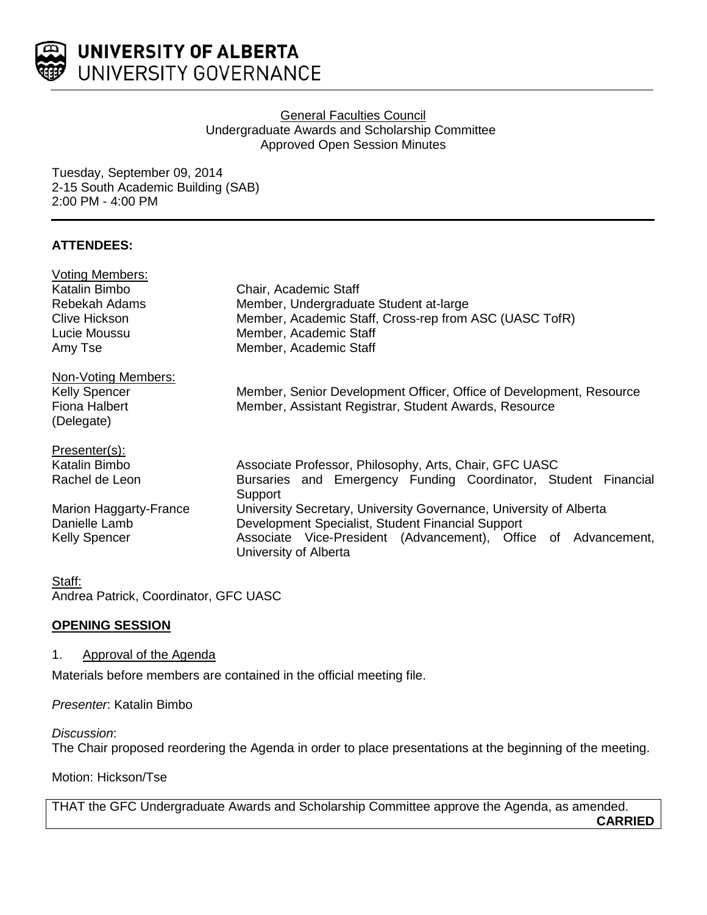

### General Faculties Council Undergraduate Awards and Scholarship Committee Approved Open Session Minutes

Tuesday, September 09, 2014 2-15 South Academic Building (SAB) 2:00 PM - 4:00 PM

# **ATTENDEES:**

| <b>Voting Members:</b> |                                                                                         |
|------------------------|-----------------------------------------------------------------------------------------|
| Katalin Bimbo          | Chair, Academic Staff                                                                   |
| Rebekah Adams          | Member, Undergraduate Student at-large                                                  |
| Clive Hickson          | Member, Academic Staff, Cross-rep from ASC (UASC TofR)                                  |
| Lucie Moussu           | Member, Academic Staff                                                                  |
| Amy Tse                | Member, Academic Staff                                                                  |
| Non-Voting Members:    |                                                                                         |
| <b>Kelly Spencer</b>   | Member, Senior Development Officer, Office of Development, Resource                     |
| Fiona Halbert          | Member, Assistant Registrar, Student Awards, Resource                                   |
| (Delegate)             |                                                                                         |
| Presenter(s):          |                                                                                         |
| Katalin Bimbo          | Associate Professor, Philosophy, Arts, Chair, GFC UASC                                  |
| Rachel de Leon         | Bursaries and Emergency Funding Coordinator, Student Financial<br>Support               |
| Marion Haggarty-France | University Secretary, University Governance, University of Alberta                      |
| Danielle Lamb          | Development Specialist, Student Financial Support                                       |
| <b>Kelly Spencer</b>   | Associate Vice-President (Advancement), Office of Advancement,<br>University of Alberta |

### Staff:

Andrea Patrick, Coordinator, GFC UASC

## **OPENING SESSION**

## 1. Approval of the Agenda

Materials before members are contained in the official meeting file.

*Presenter*: Katalin Bimbo

*Discussion*:

The Chair proposed reordering the Agenda in order to place presentations at the beginning of the meeting.

Motion: Hickson/Tse

THAT the GFC Undergraduate Awards and Scholarship Committee approve the Agenda, as amended. **CARRIED**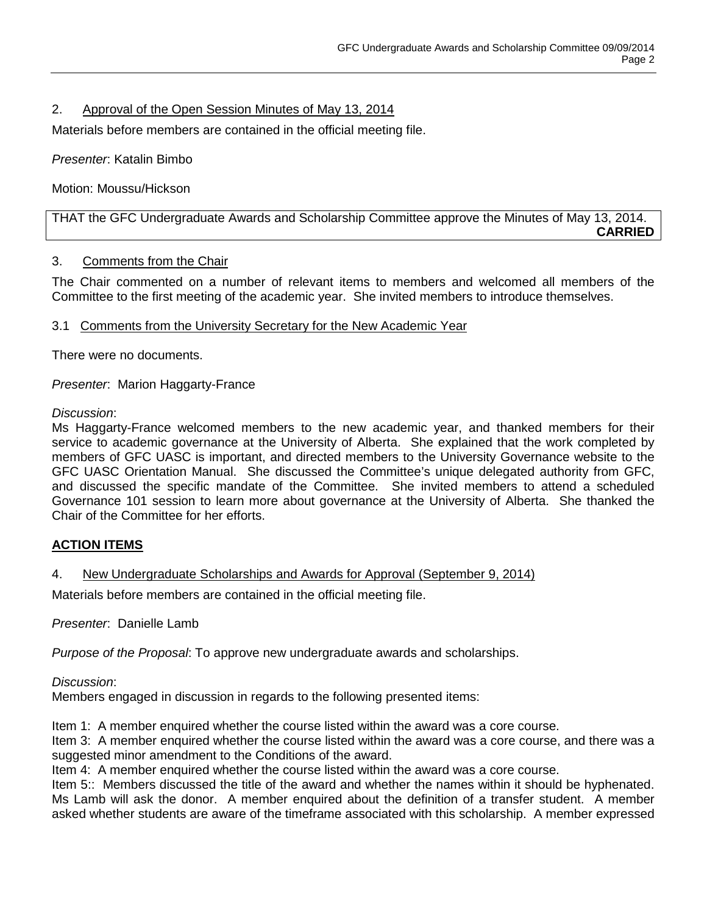# 2. Approval of the Open Session Minutes of May 13, 2014

Materials before members are contained in the official meeting file.

*Presenter*: Katalin Bimbo

Motion: Moussu/Hickson

THAT the GFC Undergraduate Awards and Scholarship Committee approve the Minutes of May 13, 2014. **CARRIED**

## 3. Comments from the Chair

The Chair commented on a number of relevant items to members and welcomed all members of the Committee to the first meeting of the academic year. She invited members to introduce themselves.

### 3.1 Comments from the University Secretary for the New Academic Year

There were no documents.

*Presenter*: Marion Haggarty-France

### *Discussion*:

Ms Haggarty-France welcomed members to the new academic year, and thanked members for their service to academic governance at the University of Alberta. She explained that the work completed by members of GFC UASC is important, and directed members to the University Governance website to the GFC UASC Orientation Manual. She discussed the Committee's unique delegated authority from GFC, and discussed the specific mandate of the Committee. She invited members to attend a scheduled Governance 101 session to learn more about governance at the University of Alberta. She thanked the Chair of the Committee for her efforts.

## **ACTION ITEMS**

## 4. New Undergraduate Scholarships and Awards for Approval (September 9, 2014)

Materials before members are contained in the official meeting file.

*Presenter*: Danielle Lamb

*Purpose of the Proposal*: To approve new undergraduate awards and scholarships.

### *Discussion*:

Members engaged in discussion in regards to the following presented items:

Item 1: A member enquired whether the course listed within the award was a core course.

Item 3: A member enquired whether the course listed within the award was a core course, and there was a suggested minor amendment to the Conditions of the award.

Item 4: A member enquired whether the course listed within the award was a core course.

Item 5:: Members discussed the title of the award and whether the names within it should be hyphenated. Ms Lamb will ask the donor. A member enquired about the definition of a transfer student. A member asked whether students are aware of the timeframe associated with this scholarship. A member expressed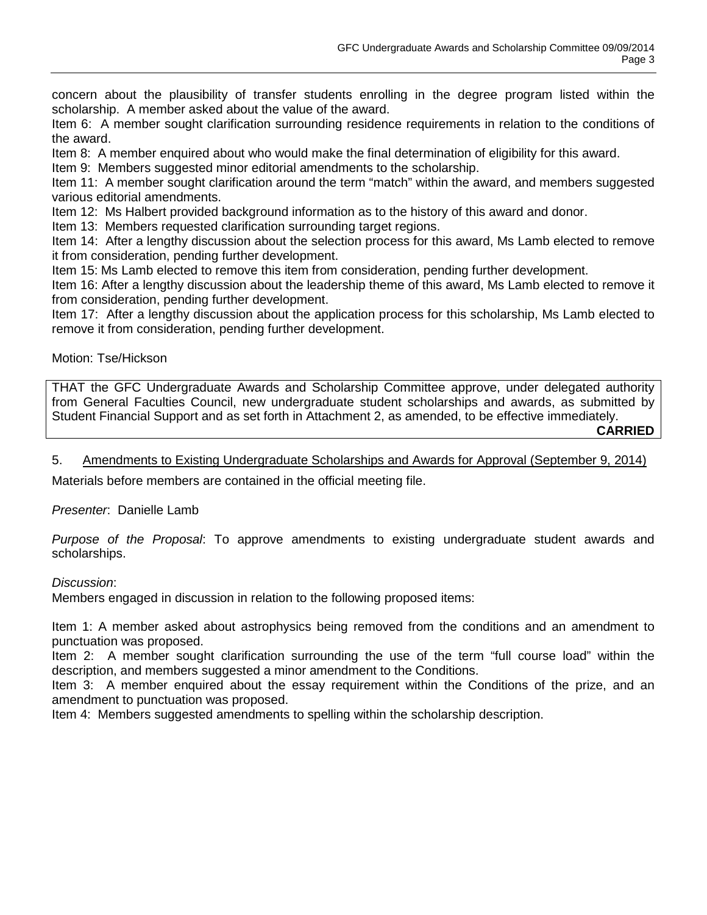concern about the plausibility of transfer students enrolling in the degree program listed within the scholarship. A member asked about the value of the award.

Item 6: A member sought clarification surrounding residence requirements in relation to the conditions of the award.

Item 8: A member enquired about who would make the final determination of eligibility for this award.

Item 9: Members suggested minor editorial amendments to the scholarship.

Item 11: A member sought clarification around the term "match" within the award, and members suggested various editorial amendments.

Item 12: Ms Halbert provided background information as to the history of this award and donor.

Item 13: Members requested clarification surrounding target regions.

Item 14: After a lengthy discussion about the selection process for this award, Ms Lamb elected to remove it from consideration, pending further development.

Item 15: Ms Lamb elected to remove this item from consideration, pending further development.

Item 16: After a lengthy discussion about the leadership theme of this award, Ms Lamb elected to remove it from consideration, pending further development.

Item 17: After a lengthy discussion about the application process for this scholarship, Ms Lamb elected to remove it from consideration, pending further development.

Motion: Tse/Hickson

THAT the GFC Undergraduate Awards and Scholarship Committee approve, under delegated authority from General Faculties Council, new undergraduate student scholarships and awards, as submitted by Student Financial Support and as set forth in Attachment 2, as amended, to be effective immediately. **CARRIED**

### 5. Amendments to Existing Undergraduate Scholarships and Awards for Approval (September 9, 2014)

Materials before members are contained in the official meeting file.

*Presenter*: Danielle Lamb

*Purpose of the Proposal*: To approve amendments to existing undergraduate student awards and scholarships.

### *Discussion*:

Members engaged in discussion in relation to the following proposed items:

Item 1: A member asked about astrophysics being removed from the conditions and an amendment to punctuation was proposed.

Item 2: A member sought clarification surrounding the use of the term "full course load" within the description, and members suggested a minor amendment to the Conditions.

Item 3: A member enquired about the essay requirement within the Conditions of the prize, and an amendment to punctuation was proposed.

Item 4: Members suggested amendments to spelling within the scholarship description.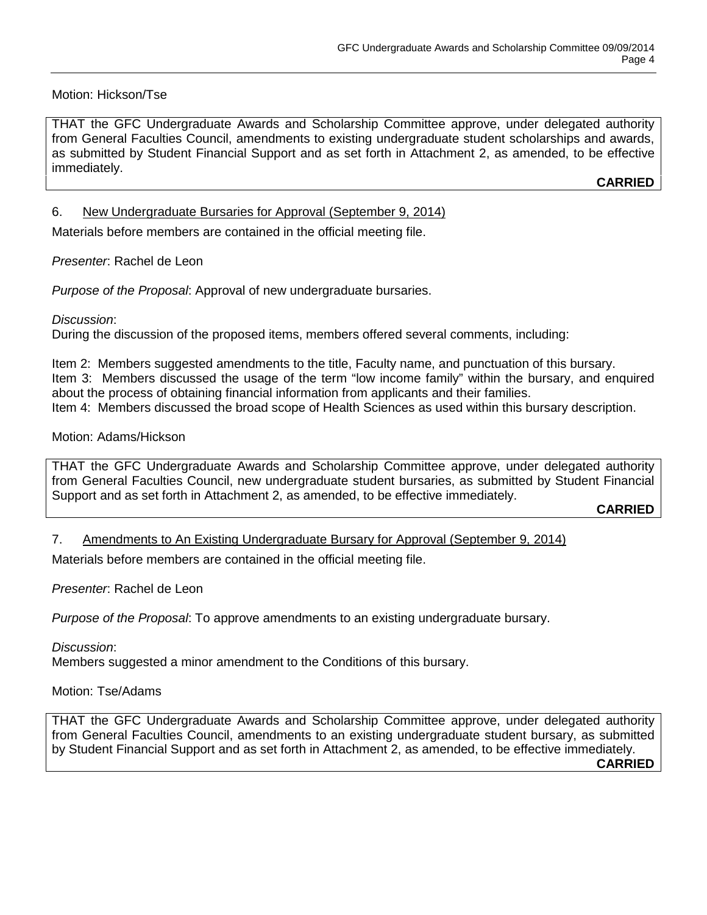## Motion: Hickson/Tse

THAT the GFC Undergraduate Awards and Scholarship Committee approve, under delegated authority from General Faculties Council, amendments to existing undergraduate student scholarships and awards, as submitted by Student Financial Support and as set forth in Attachment 2, as amended, to be effective immediately.

**CARRIED**

# 6. New Undergraduate Bursaries for Approval (September 9, 2014)

Materials before members are contained in the official meeting file.

## *Presenter*: Rachel de Leon

*Purpose of the Proposal*: Approval of new undergraduate bursaries.

### *Discussion*:

During the discussion of the proposed items, members offered several comments, including:

Item 2: Members suggested amendments to the title, Faculty name, and punctuation of this bursary. Item 3: Members discussed the usage of the term "low income family" within the bursary, and enquired about the process of obtaining financial information from applicants and their families. Item 4: Members discussed the broad scope of Health Sciences as used within this bursary description.

### Motion: Adams/Hickson

THAT the GFC Undergraduate Awards and Scholarship Committee approve, under delegated authority from General Faculties Council, new undergraduate student bursaries, as submitted by Student Financial Support and as set forth in Attachment 2, as amended, to be effective immediately.

**CARRIED**

## 7. Amendments to An Existing Undergraduate Bursary for Approval (September 9, 2014)

Materials before members are contained in the official meeting file.

*Presenter*: Rachel de Leon

*Purpose of the Proposal*: To approve amendments to an existing undergraduate bursary.

### *Discussion*:

Members suggested a minor amendment to the Conditions of this bursary.

### Motion: Tse/Adams

THAT the GFC Undergraduate Awards and Scholarship Committee approve, under delegated authority from General Faculties Council, amendments to an existing undergraduate student bursary, as submitted by Student Financial Support and as set forth in Attachment 2, as amended, to be effective immediately. **CARRIED**